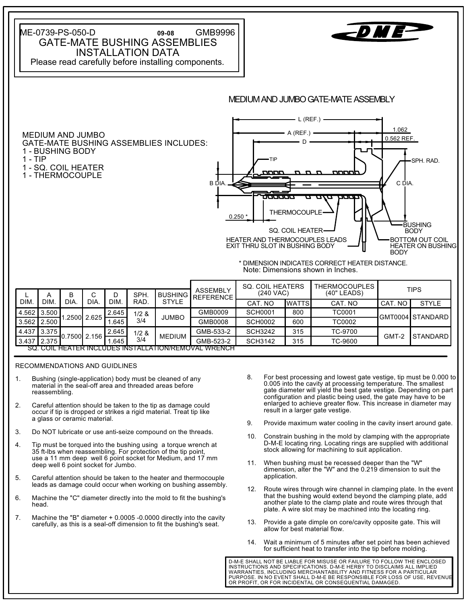ME-0739-PS-050-D **09-08** GMB9996 GATE-MATE BUSHING ASSEMBLIES INSTALLATION DATA Please read carefully before installing components. MEDIUM AND JUMBO GATE-MATE ASSEMBLY  $-L$  (REF.)  $-$ 1.062  $A$  (REF.)  $-$ MEDIUM AND JUMBO 0.562 REF. D GATE-MATE BUSHING ASSEMBLIES INCLUDES: 1 - BUSHING BODY 1 - TIP TIP SPH. RAD. 1 - SQ. COIL HEATER חרורורי החחו 1 - THERMOCOUPLE B DIA. C DIA. **THERMOCOUPLE**  $0.250$ **BUSHING** SQ. COIL HEATER BODY HEATER AND THERMOCOUPLES LEADS BOTTOM OUT COIL EXIT THRU SLOT IN BUSHING BODY HEATER ON BUSHING **BODY** \* DIMENSION INDICATES CORRECT HEATER DISTANCE. Note: Dimensions shown in Inches. SQ. COIL HEATERS | THERMOCOUPLES ASSEMBLY

|                                                             | А                 |      |                       |       | SPH.         | BUSHING       | <b>ASSEMBLY</b><br><b>REFERENCE</b> | <b>OU. UUIL NEATERO</b><br>$(240$ VAC) |               | I NERIVIULUUPLEJ<br>(40" LEADS) | <b>TIPS</b> |                 |     |        |  |                   |
|-------------------------------------------------------------|-------------------|------|-----------------------|-------|--------------|---------------|-------------------------------------|----------------------------------------|---------------|---------------------------------|-------------|-----------------|-----|--------|--|-------------------|
| <b>DIM</b>                                                  | DIM               | DIA. | DIA.                  | DIM.  | RAD.         | <b>STYLE</b>  |                                     | CAT. NO                                | <b>IWATTS</b> | CAT. NO                         | CAT. NO     | <b>STYLE</b>    |     |        |  |                   |
| 14.562                                                      | 3.500             |      |                       |       |              |               | .2500 2.625                         | 2.645                                  | 1/2 &         | <b>JUMBO</b>                    | GMB0009     | <b>SCH0001</b>  | 800 | TC0001 |  | IGMT0004ISTANDARD |
| 3.562 2.500                                                 |                   |      |                       | .645  | 3/4          |               | GMB0008                             | <b>SCH0002</b>                         | 600           | TC0002                          |             |                 |     |        |  |                   |
| 4.437                                                       | $'$ 3.375 $\vert$ |      | <b>1</b> 0.7500 2.156 | 2.645 | 1/2 &<br>3/4 | <b>MEDIUM</b> | GMB-533-2                           | <b>SCH3242</b>                         | 315           | TC-9700                         | GMT-2       | <b>STANDARD</b> |     |        |  |                   |
| 3.437                                                       | 2.375             |      |                       | .645  |              |               | GMB-523-2                           | <b>SCH3142</b>                         | 315           | TC-9600                         |             |                 |     |        |  |                   |
| <u>SQ. COIL HEATER INCLUDES INSTALLATION/REMOVAL WRENCH</u> |                   |      |                       |       |              |               |                                     |                                        |               |                                 |             |                 |     |        |  |                   |

RECOMMENDATIONS AND GUIDLINES

- 1. Bushing (single-application) body must be cleaned of any material in the seal-off area and threaded areas before reassembling.
- 2. Careful attention should be taken to the tip as damage could occur if tip is dropped or strikes a rigid material. Treat tip like a glass or ceramic material.
- 3. Do NOT lubricate or use anti-seize compound on the threads.
- 4. Tip must be torqued into the bushing using a torque wrench at 35 ft-lbs when reassembling. For protection of the tip point, use a 11 mm deep well 6 point socket for Medium, and 17 mm deep well 6 point socket for Jumbo.
- 5. Careful attention should be taken to the heater and thermocouple leads as damage could occur when working on bushing assembly.
- 6. Machine the "C" diameter directly into the mold to fit the bushing's head.
- 7. Machine the "B" diameter + 0.0005 -0.0000 directly into the cavity carefully, as this is a seal-off dimension to fit the bushing's seat.
- 8. For best processing and lowest gate vestige, tip must be 0.000 to 0.005 into the cavity at processing temperature. The smallest gate diameter will yield the best gate vestige. Depending on part configuration and plastic being used, the gate may have to be enlarged to achieve greater flow. This increase in diameter may result in a larger gate vestige.
- 9. Provide maximum water cooling in the cavity insert around gate.
- 10. Constrain bushing in the mold by clamping with the appropriate D-M-E locating ring. Locating rings are supplied with additional stock allowing for machining to suit application.
- 11. When bushing must be recessed deeper than the "W" dimension, alter the "W" and the 0.219 dimension to suit the application.
- 12. Route wires through wire channel in clamping plate. In the event that the bushing would extend beyond the clamping plate, add another plate to the clamp plate and route wires through that plate. A wire slot may be machined into the locating ring.
- 13. Provide a gate dimple on core/cavity opposite gate. This will allow for best material flow.
- 14. Wait a minimum of 5 minutes after set point has been achieved for sufficient heat to transfer into the tip before molding.

INSTRUCTIONS AND SPECIFICATIONS. D-M-E HERBY TO DISCLAIMS ALL IMPLIED WARRANTIES, INCLUDING MERCHANTABILITY AND FITNESS FOR A PARTICULAR PURPOSE. IN NO EVENT SHALL D-M-E BE RESPONSIBLE FOR LOSS OF USE, REVENUE OR PROFIT, OR FOR INCIDENTAL OR CONSEQUENTIAL DAMAGED. D-M-E SHALL NOT BE LIABLE FOR MISUSE OR FAILURE TO FOLLOW THE ENCLOSED